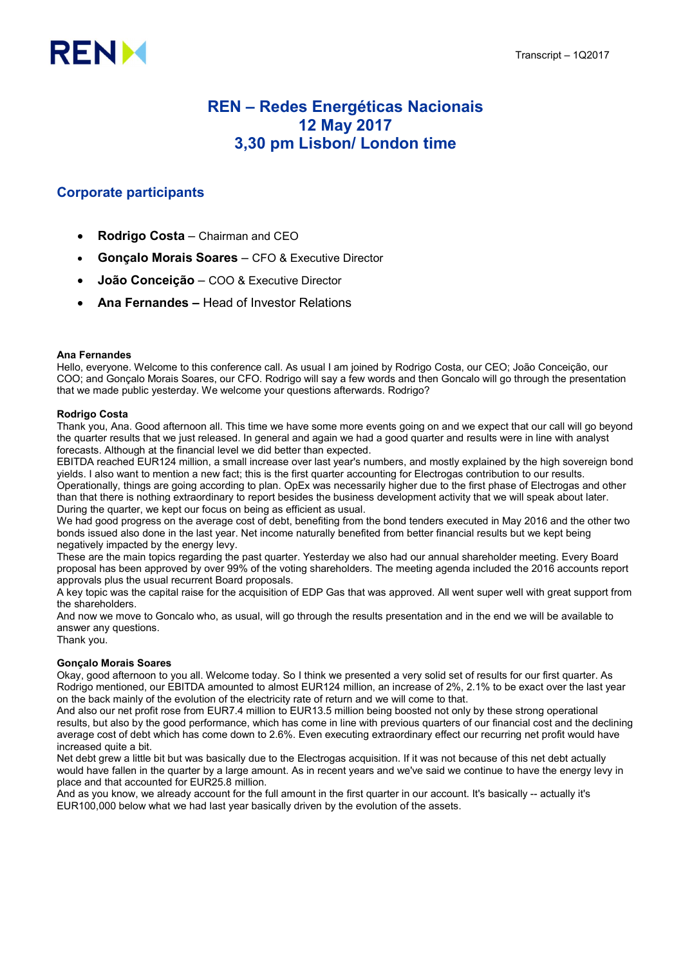

# REN – Redes Energéticas Nacionais 12 May 2017 3,30 pm Lisbon/ London time

# Corporate participants

- Rodrigo Costa Chairman and CEO
- Gonçalo Morais Soares CFO & Executive Director
- João Conceição COO & Executive Director
- Ana Fernandes Head of Investor Relations

#### Ana Fernandes

Hello, everyone. Welcome to this conference call. As usual I am joined by Rodrigo Costa, our CEO; João Conceição, our COO; and Gonçalo Morais Soares, our CFO. Rodrigo will say a few words and then Goncalo will go through the presentation that we made public yesterday. We welcome your questions afterwards. Rodrigo?

#### Rodrigo Costa

Thank you, Ana. Good afternoon all. This time we have some more events going on and we expect that our call will go beyond the quarter results that we just released. In general and again we had a good quarter and results were in line with analyst forecasts. Although at the financial level we did better than expected.

EBITDA reached EUR124 million, a small increase over last year's numbers, and mostly explained by the high sovereign bond yields. I also want to mention a new fact; this is the first quarter accounting for Electrogas contribution to our results. Operationally, things are going according to plan. OpEx was necessarily higher due to the first phase of Electrogas and other than that there is nothing extraordinary to report besides the business development activity that we will speak about later. During the quarter, we kept our focus on being as efficient as usual.

We had good progress on the average cost of debt, benefiting from the bond tenders executed in May 2016 and the other two bonds issued also done in the last year. Net income naturally benefited from better financial results but we kept being negatively impacted by the energy levy.

These are the main topics regarding the past quarter. Yesterday we also had our annual shareholder meeting. Every Board proposal has been approved by over 99% of the voting shareholders. The meeting agenda included the 2016 accounts report approvals plus the usual recurrent Board proposals.

A key topic was the capital raise for the acquisition of EDP Gas that was approved. All went super well with great support from the shareholders.

And now we move to Goncalo who, as usual, will go through the results presentation and in the end we will be available to answer any questions.

Thank you.

## Gonçalo Morais Soares

Okay, good afternoon to you all. Welcome today. So I think we presented a very solid set of results for our first quarter. As Rodrigo mentioned, our EBITDA amounted to almost EUR124 million, an increase of 2%, 2.1% to be exact over the last year on the back mainly of the evolution of the electricity rate of return and we will come to that.

And also our net profit rose from EUR7.4 million to EUR13.5 million being boosted not only by these strong operational results, but also by the good performance, which has come in line with previous quarters of our financial cost and the declining average cost of debt which has come down to 2.6%. Even executing extraordinary effect our recurring net profit would have increased quite a bit.

Net debt grew a little bit but was basically due to the Electrogas acquisition. If it was not because of this net debt actually would have fallen in the quarter by a large amount. As in recent years and we've said we continue to have the energy levy in place and that accounted for EUR25.8 million.

And as you know, we already account for the full amount in the first quarter in our account. It's basically -- actually it's EUR100,000 below what we had last year basically driven by the evolution of the assets.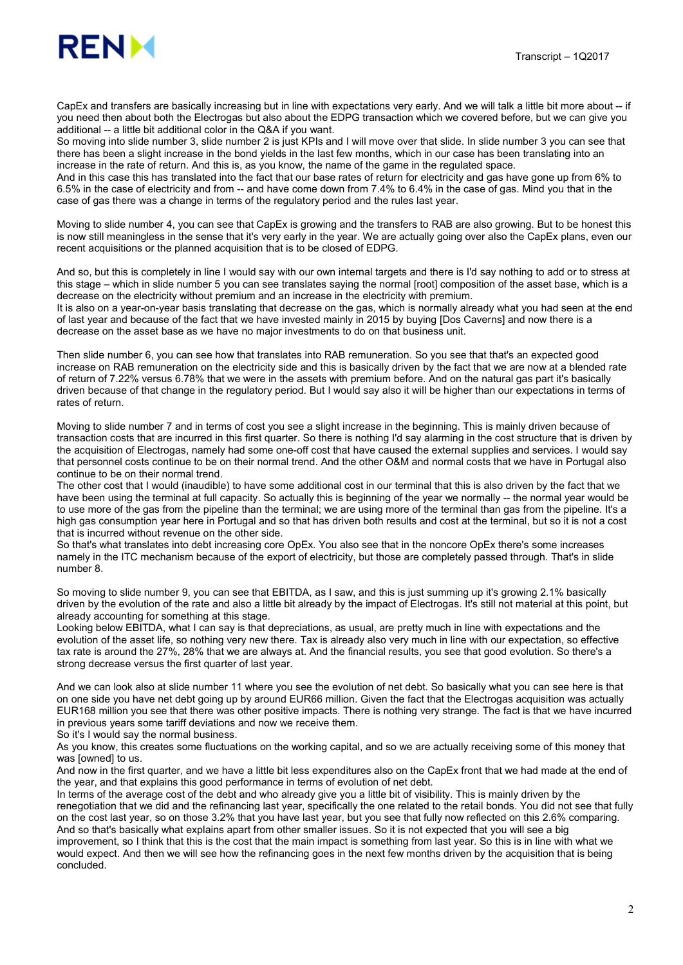CapEx and transfers are basically increasing but in line with expectations very early. And we will talk a little bit more about -- if you need then about both the Electrogas but also about the EDPG transaction which we covered before, but we can give you additional -- a little bit additional color in the Q&A if you want.

So moving into slide number 3, slide number 2 is just KPIs and I will move over that slide. In slide number 3 you can see that there has been a slight increase in the bond yields in the last few months, which in our case has been translating into an increase in the rate of return. And this is, as you know, the name of the game in the regulated space.

And in this case this has translated into the fact that our base rates of return for electricity and gas have gone up from 6% to 6.5% in the case of electricity and from -- and have come down from 7.4% to 6.4% in the case of gas. Mind you that in the case of gas there was a change in terms of the regulatory period and the rules last year.

Moving to slide number 4, you can see that CapEx is growing and the transfers to RAB are also growing. But to be honest this is now still meaningless in the sense that it's very early in the year. We are actually going over also the CapEx plans, even our recent acquisitions or the planned acquisition that is to be closed of EDPG.

And so, but this is completely in line I would say with our own internal targets and there is I'd say nothing to add or to stress at this stage – which in slide number 5 you can see translates saying the normal [root] composition of the asset base, which is a decrease on the electricity without premium and an increase in the electricity with premium.

It is also on a year-on-year basis translating that decrease on the gas, which is normally already what you had seen at the end of last year and because of the fact that we have invested mainly in 2015 by buying [Dos Caverns] and now there is a decrease on the asset base as we have no major investments to do on that business unit.

Then slide number 6, you can see how that translates into RAB remuneration. So you see that that's an expected good increase on RAB remuneration on the electricity side and this is basically driven by the fact that we are now at a blended rate of return of 7.22% versus 6.78% that we were in the assets with premium before. And on the natural gas part it's basically driven because of that change in the regulatory period. But I would say also it will be higher than our expectations in terms of rates of return.

Moving to slide number 7 and in terms of cost you see a slight increase in the beginning. This is mainly driven because of transaction costs that are incurred in this first quarter. So there is nothing I'd say alarming in the cost structure that is driven by the acquisition of Electrogas, namely had some one-off cost that have caused the external supplies and services. I would say that personnel costs continue to be on their normal trend. And the other O&M and normal costs that we have in Portugal also continue to be on their normal trend.

The other cost that I would (inaudible) to have some additional cost in our terminal that this is also driven by the fact that we have been using the terminal at full capacity. So actually this is beginning of the year we normally -- the normal year would be to use more of the gas from the pipeline than the terminal; we are using more of the terminal than gas from the pipeline. It's a high gas consumption year here in Portugal and so that has driven both results and cost at the terminal, but so it is not a cost that is incurred without revenue on the other side.

So that's what translates into debt increasing core OpEx. You also see that in the noncore OpEx there's some increases namely in the ITC mechanism because of the export of electricity, but those are completely passed through. That's in slide number 8.

So moving to slide number 9, you can see that EBITDA, as I saw, and this is just summing up it's growing 2.1% basically driven by the evolution of the rate and also a little bit already by the impact of Electrogas. It's still not material at this point, but already accounting for something at this stage.

Looking below EBITDA, what I can say is that depreciations, as usual, are pretty much in line with expectations and the evolution of the asset life, so nothing very new there. Tax is already also very much in line with our expectation, so effective tax rate is around the 27%, 28% that we are always at. And the financial results, you see that good evolution. So there's a strong decrease versus the first quarter of last year.

And we can look also at slide number 11 where you see the evolution of net debt. So basically what you can see here is that on one side you have net debt going up by around EUR66 million. Given the fact that the Electrogas acquisition was actually EUR168 million you see that there was other positive impacts. There is nothing very strange. The fact is that we have incurred in previous years some tariff deviations and now we receive them.

So it's I would say the normal business.

As you know, this creates some fluctuations on the working capital, and so we are actually receiving some of this money that was [owned] to us.

And now in the first quarter, and we have a little bit less expenditures also on the CapEx front that we had made at the end of the year, and that explains this good performance in terms of evolution of net debt.

In terms of the average cost of the debt and who already give you a little bit of visibility. This is mainly driven by the renegotiation that we did and the refinancing last year, specifically the one related to the retail bonds. You did not see that fully on the cost last year, so on those 3.2% that you have last year, but you see that fully now reflected on this 2.6% comparing. And so that's basically what explains apart from other smaller issues. So it is not expected that you will see a big improvement, so I think that this is the cost that the main impact is something from last year. So this is in line with what we would expect. And then we will see how the refinancing goes in the next few months driven by the acquisition that is being concluded.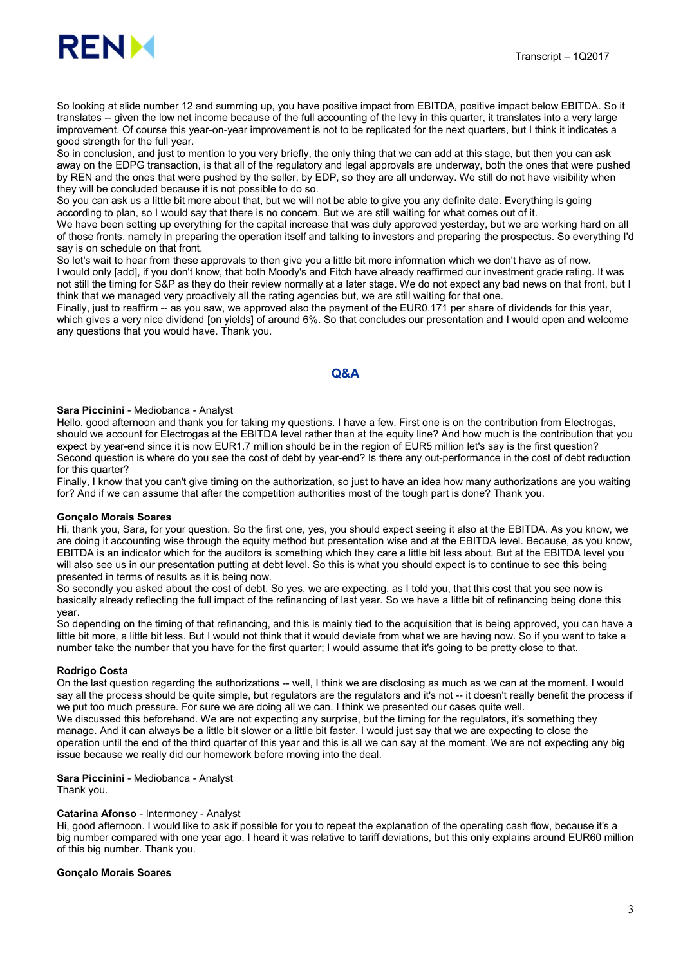

So looking at slide number 12 and summing up, you have positive impact from EBITDA, positive impact below EBITDA. So it translates -- given the low net income because of the full accounting of the levy in this quarter, it translates into a very large improvement. Of course this year-on-year improvement is not to be replicated for the next quarters, but I think it indicates a good strength for the full year.

So in conclusion, and just to mention to you very briefly, the only thing that we can add at this stage, but then you can ask away on the EDPG transaction, is that all of the regulatory and legal approvals are underway, both the ones that were pushed by REN and the ones that were pushed by the seller, by EDP, so they are all underway. We still do not have visibility when they will be concluded because it is not possible to do so.

So you can ask us a little bit more about that, but we will not be able to give you any definite date. Everything is going according to plan, so I would say that there is no concern. But we are still waiting for what comes out of it.

We have been setting up everything for the capital increase that was duly approved yesterday, but we are working hard on all of those fronts, namely in preparing the operation itself and talking to investors and preparing the prospectus. So everything I'd say is on schedule on that front.

So let's wait to hear from these approvals to then give you a little bit more information which we don't have as of now. I would only [add], if you don't know, that both Moody's and Fitch have already reaffirmed our investment grade rating. It was not still the timing for S&P as they do their review normally at a later stage. We do not expect any bad news on that front, but I think that we managed very proactively all the rating agencies but, we are still waiting for that one.

Finally, just to reaffirm -- as you saw, we approved also the payment of the EUR0.171 per share of dividends for this year, which gives a very nice dividend [on yields] of around 6%. So that concludes our presentation and I would open and welcome any questions that you would have. Thank you.

# Q&A

#### Sara Piccinini - Mediobanca - Analyst

Hello, good afternoon and thank you for taking my questions. I have a few. First one is on the contribution from Electrogas, should we account for Electrogas at the EBITDA level rather than at the equity line? And how much is the contribution that you expect by year-end since it is now EUR1.7 million should be in the region of EUR5 million let's say is the first question? Second question is where do you see the cost of debt by year-end? Is there any out-performance in the cost of debt reduction for this quarter?

Finally, I know that you can't give timing on the authorization, so just to have an idea how many authorizations are you waiting for? And if we can assume that after the competition authorities most of the tough part is done? Thank you.

#### Gonçalo Morais Soares

Hi, thank you, Sara, for your question. So the first one, yes, you should expect seeing it also at the EBITDA. As you know, we are doing it accounting wise through the equity method but presentation wise and at the EBITDA level. Because, as you know, EBITDA is an indicator which for the auditors is something which they care a little bit less about. But at the EBITDA level you will also see us in our presentation putting at debt level. So this is what you should expect is to continue to see this being presented in terms of results as it is being now.

So secondly you asked about the cost of debt. So yes, we are expecting, as I told you, that this cost that you see now is basically already reflecting the full impact of the refinancing of last year. So we have a little bit of refinancing being done this year.

So depending on the timing of that refinancing, and this is mainly tied to the acquisition that is being approved, you can have a little bit more, a little bit less. But I would not think that it would deviate from what we are having now. So if you want to take a number take the number that you have for the first quarter; I would assume that it's going to be pretty close to that.

#### Rodrigo Costa

On the last question regarding the authorizations -- well, I think we are disclosing as much as we can at the moment. I would say all the process should be quite simple, but regulators are the regulators and it's not -- it doesn't really benefit the process if we put too much pressure. For sure we are doing all we can. I think we presented our cases quite well. We discussed this beforehand. We are not expecting any surprise, but the timing for the regulators, it's something they

manage. And it can always be a little bit slower or a little bit faster. I would just say that we are expecting to close the operation until the end of the third quarter of this year and this is all we can say at the moment. We are not expecting any big issue because we really did our homework before moving into the deal.

## Sara Piccinini - Mediobanca - Analyst

Thank you.

#### Catarina Afonso - Intermoney - Analyst

Hi, good afternoon. I would like to ask if possible for you to repeat the explanation of the operating cash flow, because it's a big number compared with one year ago. I heard it was relative to tariff deviations, but this only explains around EUR60 million of this big number. Thank you.

#### Gonçalo Morais Soares